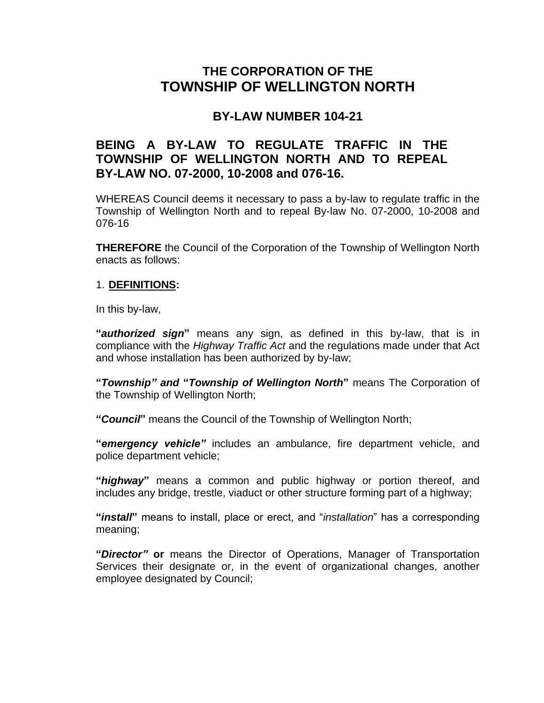# **THE CORPORATION OF THE TOWNSHIP OF WELLINGTON NORTH**

# **BY-LAW NUMBER 104-21**

## **BEING A BY-LAW TO REGULATE TRAFFIC IN THE TOWNSHIP OF WELLINGTON NORTH AND TO REPEAL BY-LAW NO. 07-2000, 10-2008 and 076-16.**

WHEREAS Council deems it necessary to pass a by-law to regulate traffic in the Township of Wellington North and to repeal By-law No. 07-2000, 10-2008 and 076-16

**THEREFORE** the Council of the Corporation of the Township of Wellington North enacts as follows:

### 1. **DEFINITIONS:**

In this by-law,

**"***authorized sign***"** means any sign, as defined in this by-law, that is in compliance with the *Highway Traffic Act* and the regulations made under that Act and whose installation has been authorized by by-law;

**"***Township" and* **"***Township of Wellington North***"** means The Corporation of the Township of Wellington North;

**"***Council***"** means the Council of the Township of Wellington North;

**"***emergency vehicle"* includes an ambulance, fire department vehicle, and police department vehicle;

**"***highway***"** means a common and public highway or portion thereof, and includes any bridge, trestle, viaduct or other structure forming part of a highway;

**"***install***"** means to install, place or erect, and "*installation*" has a corresponding meaning;

**"***Director"* **or** means the Director of Operations, Manager of Transportation Services their designate or, in the event of organizational changes, another employee designated by Council;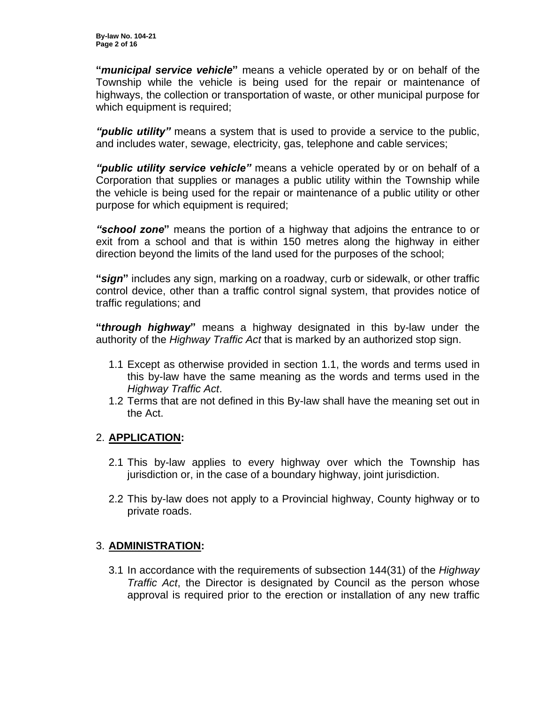**"***municipal service vehicle***"** means a vehicle operated by or on behalf of the Township while the vehicle is being used for the repair or maintenance of highways, the collection or transportation of waste, or other municipal purpose for which equipment is required;

*"public utility"* means a system that is used to provide a service to the public, and includes water, sewage, electricity, gas, telephone and cable services;

*"public utility service vehicle"* means a vehicle operated by or on behalf of a Corporation that supplies or manages a public utility within the Township while the vehicle is being used for the repair or maintenance of a public utility or other purpose for which equipment is required;

*"school zone***"** means the portion of a highway that adjoins the entrance to or exit from a school and that is within 150 metres along the highway in either direction beyond the limits of the land used for the purposes of the school;

**"***sign***"** includes any sign, marking on a roadway, curb or sidewalk, or other traffic control device, other than a traffic control signal system, that provides notice of traffic regulations; and

**"***through highway***"** means a highway designated in this by-law under the authority of the *Highway Traffic Act* that is marked by an authorized stop sign.

- 1.1 Except as otherwise provided in section 1.1, the words and terms used in this by-law have the same meaning as the words and terms used in the *Highway Traffic Act*.
- 1.2 Terms that are not defined in this By-law shall have the meaning set out in the Act.

## 2. **APPLICATION:**

- 2.1 This by-law applies to every highway over which the Township has jurisdiction or, in the case of a boundary highway, joint jurisdiction.
- 2.2 This by-law does not apply to a Provincial highway, County highway or to private roads.

## 3. **ADMINISTRATION:**

3.1 In accordance with the requirements of subsection 144(31) of the *Highway Traffic Act*, the Director is designated by Council as the person whose approval is required prior to the erection or installation of any new traffic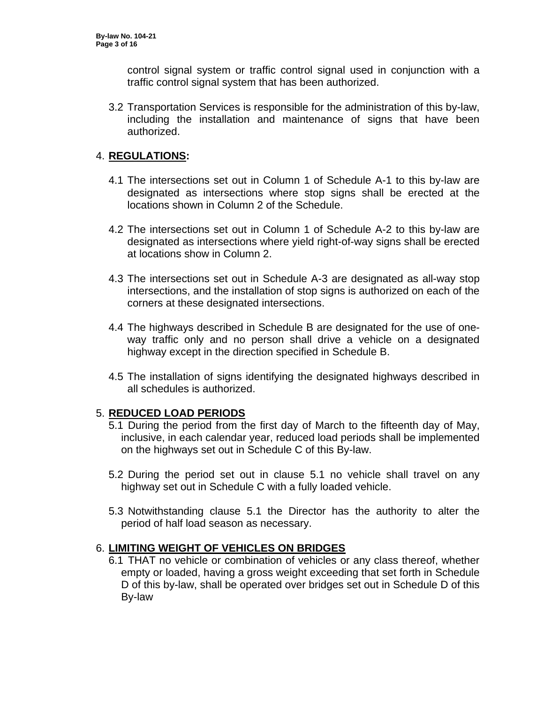control signal system or traffic control signal used in conjunction with a traffic control signal system that has been authorized.

3.2 Transportation Services is responsible for the administration of this by-law, including the installation and maintenance of signs that have been authorized.

### 4. **REGULATIONS:**

- 4.1 The intersections set out in Column 1 of Schedule A-1 to this by-law are designated as intersections where stop signs shall be erected at the locations shown in Column 2 of the Schedule.
- 4.2 The intersections set out in Column 1 of Schedule A-2 to this by-law are designated as intersections where yield right-of-way signs shall be erected at locations show in Column 2.
- 4.3 The intersections set out in Schedule A-3 are designated as all-way stop intersections, and the installation of stop signs is authorized on each of the corners at these designated intersections.
- 4.4 The highways described in Schedule B are designated for the use of oneway traffic only and no person shall drive a vehicle on a designated highway except in the direction specified in Schedule B.
- 4.5 The installation of signs identifying the designated highways described in all schedules is authorized.

## 5. **REDUCED LOAD PERIODS**

- 5.1 During the period from the first day of March to the fifteenth day of May, inclusive, in each calendar year, reduced load periods shall be implemented on the highways set out in Schedule C of this By-law.
- 5.2 During the period set out in clause 5.1 no vehicle shall travel on any highway set out in Schedule C with a fully loaded vehicle.
- 5.3 Notwithstanding clause 5.1 the Director has the authority to alter the period of half load season as necessary.

## 6. **LIMITING WEIGHT OF VEHICLES ON BRIDGES**

6.1 THAT no vehicle or combination of vehicles or any class thereof, whether empty or loaded, having a gross weight exceeding that set forth in Schedule D of this by-law, shall be operated over bridges set out in Schedule D of this By-law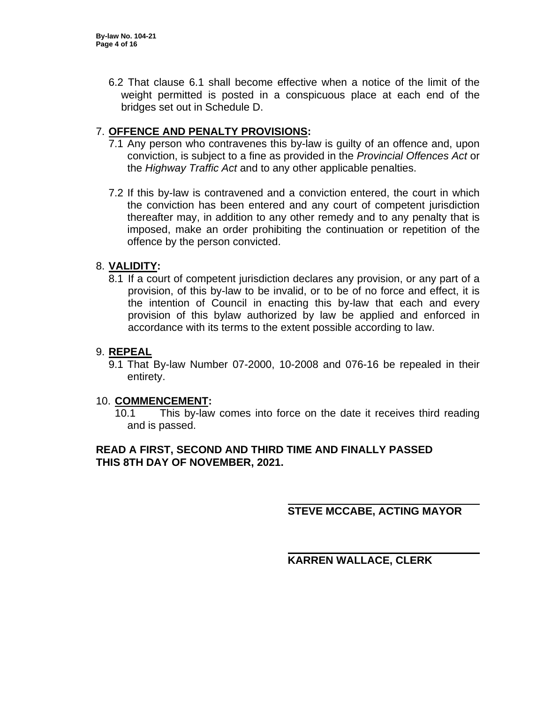6.2 That clause 6.1 shall become effective when a notice of the limit of the weight permitted is posted in a conspicuous place at each end of the bridges set out in Schedule D.

## 7. **OFFENCE AND PENALTY PROVISIONS:**

- 7.1 Any person who contravenes this by-law is guilty of an offence and, upon conviction, is subject to a fine as provided in the *Provincial Offences Act* or the *Highway Traffic Act* and to any other applicable penalties.
- 7.2 If this by-law is contravened and a conviction entered, the court in which the conviction has been entered and any court of competent jurisdiction thereafter may, in addition to any other remedy and to any penalty that is imposed, make an order prohibiting the continuation or repetition of the offence by the person convicted.

#### 8. **VALIDITY:**

8.1 If a court of competent jurisdiction declares any provision, or any part of a provision, of this by-law to be invalid, or to be of no force and effect, it is the intention of Council in enacting this by-law that each and every provision of this bylaw authorized by law be applied and enforced in accordance with its terms to the extent possible according to law.

#### 9. **REPEAL**

9.1 That By-law Number 07-2000, 10-2008 and 076-16 be repealed in their entirety.

#### 10. **COMMENCEMENT:**

10.1 This by-law comes into force on the date it receives third reading and is passed.

#### **READ A FIRST, SECOND AND THIRD TIME AND FINALLY PASSED THIS 8TH DAY OF NOVEMBER, 2021.**

**STEVE MCCABE, ACTING MAYOR**

**KARREN WALLACE, CLERK**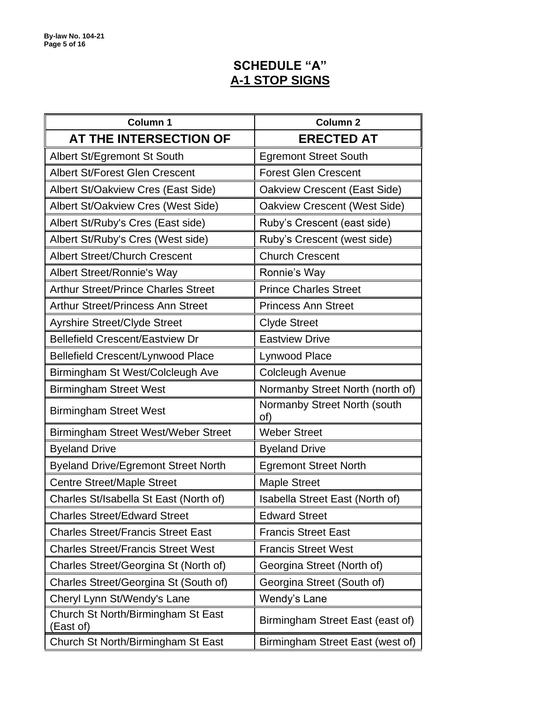# **SCHEDULE "A" A-1 STOP SIGNS**

| <b>Column 1</b>                                 | <b>Column 2</b>                     |  |
|-------------------------------------------------|-------------------------------------|--|
| AT THE INTERSECTION OF                          | <b>ERECTED AT</b>                   |  |
| Albert St/Egremont St South                     | <b>Egremont Street South</b>        |  |
| <b>Albert St/Forest Glen Crescent</b>           | <b>Forest Glen Crescent</b>         |  |
| Albert St/Oakview Cres (East Side)              | Oakview Crescent (East Side)        |  |
| Albert St/Oakview Cres (West Side)              | Oakview Crescent (West Side)        |  |
| Albert St/Ruby's Cres (East side)               | Ruby's Crescent (east side)         |  |
| Albert St/Ruby's Cres (West side)               | Ruby's Crescent (west side)         |  |
| <b>Albert Street/Church Crescent</b>            | <b>Church Crescent</b>              |  |
| <b>Albert Street/Ronnie's Way</b>               | Ronnie's Way                        |  |
| <b>Arthur Street/Prince Charles Street</b>      | <b>Prince Charles Street</b>        |  |
| <b>Arthur Street/Princess Ann Street</b>        | <b>Princess Ann Street</b>          |  |
| <b>Ayrshire Street/Clyde Street</b>             | <b>Clyde Street</b>                 |  |
| <b>Bellefield Crescent/Eastview Dr</b>          | <b>Eastview Drive</b>               |  |
| <b>Bellefield Crescent/Lynwood Place</b>        | Lynwood Place                       |  |
| Birmingham St West/Colcleugh Ave                | Colcleugh Avenue                    |  |
| <b>Birmingham Street West</b>                   | Normanby Street North (north of)    |  |
| <b>Birmingham Street West</b>                   | Normanby Street North (south<br>of) |  |
| Birmingham Street West/Weber Street             | <b>Weber Street</b>                 |  |
| <b>Byeland Drive</b>                            | <b>Byeland Drive</b>                |  |
| <b>Byeland Drive/Egremont Street North</b>      | <b>Egremont Street North</b>        |  |
| <b>Centre Street/Maple Street</b>               | <b>Maple Street</b>                 |  |
| Charles St/Isabella St East (North of)          | Isabella Street East (North of)     |  |
| <b>Charles Street/Edward Street</b>             | <b>Edward Street</b>                |  |
| <b>Charles Street/Francis Street East</b>       | <b>Francis Street East</b>          |  |
| <b>Charles Street/Francis Street West</b>       | <b>Francis Street West</b>          |  |
| Charles Street/Georgina St (North of)           | Georgina Street (North of)          |  |
| Charles Street/Georgina St (South of)           | Georgina Street (South of)          |  |
| Cheryl Lynn St/Wendy's Lane                     | Wendy's Lane                        |  |
| Church St North/Birmingham St East<br>(East of) | Birmingham Street East (east of)    |  |
| Church St North/Birmingham St East              | Birmingham Street East (west of)    |  |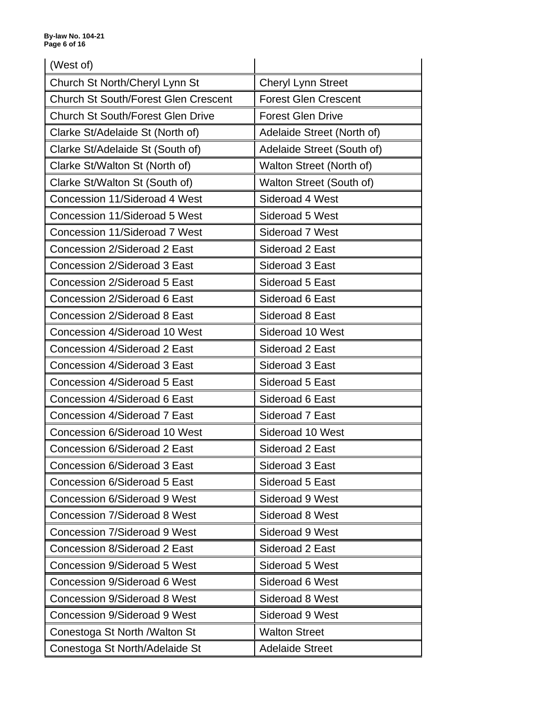| (West of)                                   |                             |  |
|---------------------------------------------|-----------------------------|--|
| Church St North/Cheryl Lynn St              | <b>Cheryl Lynn Street</b>   |  |
| <b>Church St South/Forest Glen Crescent</b> | <b>Forest Glen Crescent</b> |  |
| <b>Church St South/Forest Glen Drive</b>    | <b>Forest Glen Drive</b>    |  |
| Clarke St/Adelaide St (North of)            | Adelaide Street (North of)  |  |
| Clarke St/Adelaide St (South of)            | Adelaide Street (South of)  |  |
| Clarke St/Walton St (North of)              | Walton Street (North of)    |  |
| Clarke St/Walton St (South of)              | Walton Street (South of)    |  |
| Concession 11/Sideroad 4 West               | Sideroad 4 West             |  |
| Concession 11/Sideroad 5 West               | Sideroad 5 West             |  |
| Concession 11/Sideroad 7 West               | Sideroad 7 West             |  |
| Concession 2/Sideroad 2 East                | Sideroad 2 East             |  |
| Concession 2/Sideroad 3 East                | Sideroad 3 East             |  |
| Concession 2/Sideroad 5 East                | Sideroad 5 East             |  |
| Concession 2/Sideroad 6 East                | Sideroad 6 East             |  |
| Concession 2/Sideroad 8 East                | Sideroad 8 East             |  |
| Concession 4/Sideroad 10 West               | Sideroad 10 West            |  |
| Concession 4/Sideroad 2 East                | Sideroad 2 East             |  |
| Concession 4/Sideroad 3 East                | Sideroad 3 East             |  |
| Concession 4/Sideroad 5 East                | Sideroad 5 East             |  |
| Concession 4/Sideroad 6 East                | Sideroad 6 East             |  |
| Concession 4/Sideroad 7 East                | Sideroad 7 East             |  |
| Concession 6/Sideroad 10 West               | Sideroad 10 West            |  |
| Concession 6/Sideroad 2 East                | Sideroad 2 East             |  |
| Concession 6/Sideroad 3 East                | Sideroad 3 East             |  |
| Concession 6/Sideroad 5 East                | Sideroad 5 East             |  |
| <b>Concession 6/Sideroad 9 West</b>         | Sideroad 9 West             |  |
| <b>Concession 7/Sideroad 8 West</b>         | Sideroad 8 West             |  |
| <b>Concession 7/Sideroad 9 West</b>         | Sideroad 9 West             |  |
| Concession 8/Sideroad 2 East                | Sideroad 2 East             |  |
| <b>Concession 9/Sideroad 5 West</b>         | Sideroad 5 West             |  |
| Concession 9/Sideroad 6 West                | Sideroad 6 West             |  |
| Concession 9/Sideroad 8 West                | Sideroad 8 West             |  |
| <b>Concession 9/Sideroad 9 West</b>         | Sideroad 9 West             |  |
| Conestoga St North / Walton St              | <b>Walton Street</b>        |  |
| Conestoga St North/Adelaide St              | <b>Adelaide Street</b>      |  |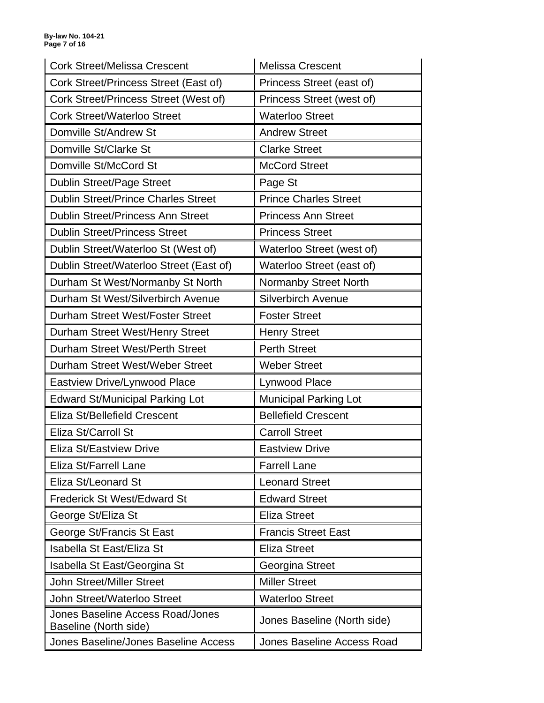| <b>Cork Street/Melissa Crescent</b>                       | <b>Melissa Crescent</b>      |  |
|-----------------------------------------------------------|------------------------------|--|
| Cork Street/Princess Street (East of)                     | Princess Street (east of)    |  |
| Cork Street/Princess Street (West of)                     | Princess Street (west of)    |  |
| <b>Cork Street/Waterloo Street</b>                        | <b>Waterloo Street</b>       |  |
| Domville St/Andrew St                                     | <b>Andrew Street</b>         |  |
| Domville St/Clarke St                                     | <b>Clarke Street</b>         |  |
| Domville St/McCord St                                     | <b>McCord Street</b>         |  |
| <b>Dublin Street/Page Street</b>                          | Page St                      |  |
| <b>Dublin Street/Prince Charles Street</b>                | <b>Prince Charles Street</b> |  |
| <b>Dublin Street/Princess Ann Street</b>                  | <b>Princess Ann Street</b>   |  |
| <b>Dublin Street/Princess Street</b>                      | <b>Princess Street</b>       |  |
| Dublin Street/Waterloo St (West of)                       | Waterloo Street (west of)    |  |
| Dublin Street/Waterloo Street (East of)                   | Waterloo Street (east of)    |  |
| Durham St West/Normanby St North                          | <b>Normanby Street North</b> |  |
| Durham St West/Silverbirch Avenue                         | <b>Silverbirch Avenue</b>    |  |
| Durham Street West/Foster Street                          | <b>Foster Street</b>         |  |
| Durham Street West/Henry Street                           | <b>Henry Street</b>          |  |
| Durham Street West/Perth Street                           | <b>Perth Street</b>          |  |
| Durham Street West/Weber Street                           | <b>Weber Street</b>          |  |
| <b>Eastview Drive/Lynwood Place</b>                       | Lynwood Place                |  |
| <b>Edward St/Municipal Parking Lot</b>                    | <b>Municipal Parking Lot</b> |  |
| Eliza St/Bellefield Crescent                              | <b>Bellefield Crescent</b>   |  |
| Eliza St/Carroll St                                       | <b>Carroll Street</b>        |  |
| Eliza St/Eastview Drive                                   | <b>Eastview Drive</b>        |  |
| Eliza St/Farrell Lane                                     | <b>Farrell Lane</b>          |  |
| Eliza St/Leonard St                                       | <b>Leonard Street</b>        |  |
| <b>Frederick St West/Edward St</b>                        | <b>Edward Street</b>         |  |
| George St/Eliza St                                        | <b>Eliza Street</b>          |  |
| George St/Francis St East                                 | <b>Francis Street East</b>   |  |
| Isabella St East/Eliza St                                 | <b>Eliza Street</b>          |  |
| Isabella St East/Georgina St                              | Georgina Street              |  |
| <b>John Street/Miller Street</b>                          | <b>Miller Street</b>         |  |
| <b>John Street/Waterloo Street</b>                        | <b>Waterloo Street</b>       |  |
| Jones Baseline Access Road/Jones<br>Baseline (North side) | Jones Baseline (North side)  |  |
| <b>Jones Baseline/Jones Baseline Access</b>               | Jones Baseline Access Road   |  |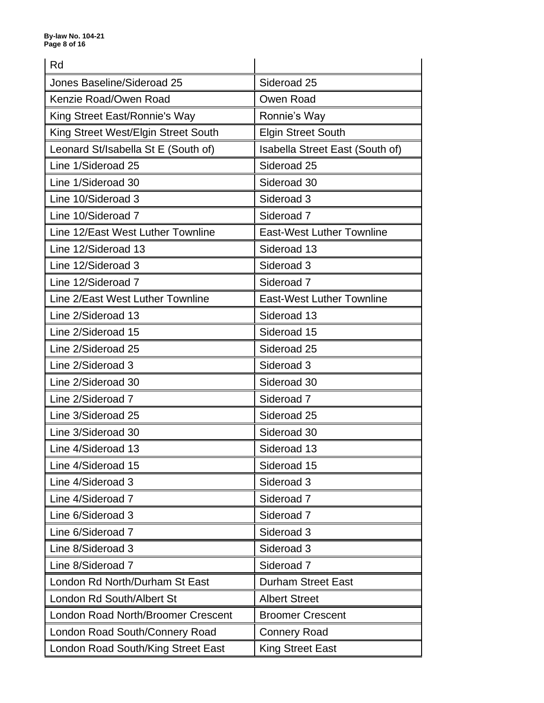| Rd                                        |                                  |  |
|-------------------------------------------|----------------------------------|--|
| Jones Baseline/Sideroad 25                | Sideroad 25                      |  |
| Kenzie Road/Owen Road                     | Owen Road                        |  |
| King Street East/Ronnie's Way             | Ronnie's Way                     |  |
| King Street West/Elgin Street South       | <b>Elgin Street South</b>        |  |
| Leonard St/Isabella St E (South of)       | Isabella Street East (South of)  |  |
| Line 1/Sideroad 25                        | Sideroad 25                      |  |
| Line 1/Sideroad 30                        | Sideroad 30                      |  |
| Line 10/Sideroad 3                        | Sideroad 3                       |  |
| Line 10/Sideroad 7                        | Sideroad <sub>7</sub>            |  |
| Line 12/East West Luther Townline         | <b>East-West Luther Townline</b> |  |
| Line 12/Sideroad 13                       | Sideroad 13                      |  |
| Line 12/Sideroad 3                        | Sideroad 3                       |  |
| Line 12/Sideroad 7                        | Sideroad <sub>7</sub>            |  |
| Line 2/East West Luther Townline          | <b>East-West Luther Townline</b> |  |
| Line 2/Sideroad 13                        | Sideroad 13                      |  |
| Line 2/Sideroad 15                        | Sideroad 15                      |  |
| Line 2/Sideroad 25                        | Sideroad 25                      |  |
| Line 2/Sideroad 3                         | Sideroad 3                       |  |
| Line 2/Sideroad 30                        | Sideroad 30                      |  |
| Line 2/Sideroad 7                         | Sideroad <sub>7</sub>            |  |
| Line 3/Sideroad 25                        | Sideroad 25                      |  |
| Line 3/Sideroad 30                        | Sideroad 30                      |  |
| Line 4/Sideroad 13                        | Sideroad 13                      |  |
| Line 4/Sideroad 15                        | Sideroad 15                      |  |
| Line 4/Sideroad 3                         | Sideroad 3                       |  |
| Line 4/Sideroad 7                         | Sideroad <sub>7</sub>            |  |
| Line 6/Sideroad 3                         | Sideroad <sub>7</sub>            |  |
| Line 6/Sideroad 7                         | Sideroad 3                       |  |
| Line 8/Sideroad 3                         | Sideroad 3                       |  |
| Line 8/Sideroad 7                         | Sideroad <sub>7</sub>            |  |
| London Rd North/Durham St East            | <b>Durham Street East</b>        |  |
| London Rd South/Albert St                 | <b>Albert Street</b>             |  |
| <b>London Road North/Broomer Crescent</b> | <b>Broomer Crescent</b>          |  |
| London Road South/Connery Road            | <b>Connery Road</b>              |  |
| London Road South/King Street East        | <b>King Street East</b>          |  |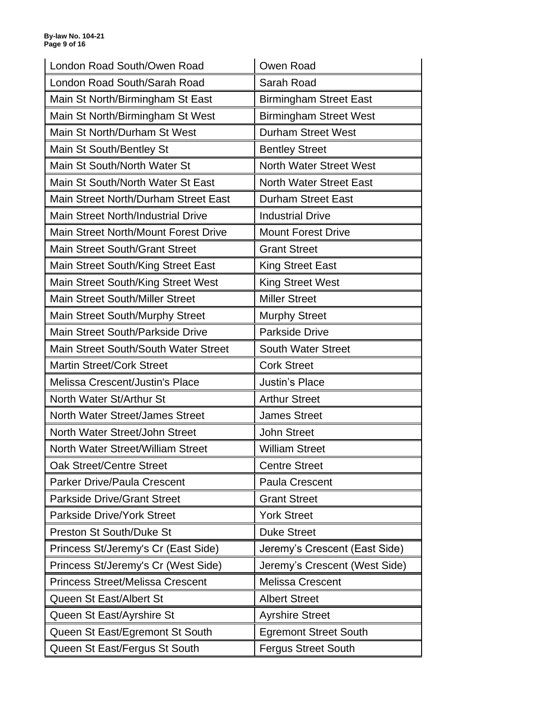| London Road South/Owen Road             | Owen Road                      |  |
|-----------------------------------------|--------------------------------|--|
| London Road South/Sarah Road            | Sarah Road                     |  |
| Main St North/Birmingham St East        | <b>Birmingham Street East</b>  |  |
| Main St North/Birmingham St West        | <b>Birmingham Street West</b>  |  |
| Main St North/Durham St West            | <b>Durham Street West</b>      |  |
| Main St South/Bentley St                | <b>Bentley Street</b>          |  |
| Main St South/North Water St            | <b>North Water Street West</b> |  |
| Main St South/North Water St East       | <b>North Water Street East</b> |  |
| Main Street North/Durham Street East    | <b>Durham Street East</b>      |  |
| Main Street North/Industrial Drive      | <b>Industrial Drive</b>        |  |
| Main Street North/Mount Forest Drive    | <b>Mount Forest Drive</b>      |  |
| <b>Main Street South/Grant Street</b>   | <b>Grant Street</b>            |  |
| Main Street South/King Street East      | <b>King Street East</b>        |  |
| Main Street South/King Street West      | <b>King Street West</b>        |  |
| <b>Main Street South/Miller Street</b>  | <b>Miller Street</b>           |  |
| Main Street South/Murphy Street         | <b>Murphy Street</b>           |  |
| Main Street South/Parkside Drive        | <b>Parkside Drive</b>          |  |
| Main Street South/South Water Street    | <b>South Water Street</b>      |  |
| <b>Martin Street/Cork Street</b>        | <b>Cork Street</b>             |  |
|                                         |                                |  |
| Melissa Crescent/Justin's Place         | <b>Justin's Place</b>          |  |
| North Water St/Arthur St                | <b>Arthur Street</b>           |  |
| North Water Street/James Street         | <b>James Street</b>            |  |
| North Water Street/John Street          | <b>John Street</b>             |  |
| North Water Street/William Street       | <b>William Street</b>          |  |
| <b>Oak Street/Centre Street</b>         | <b>Centre Street</b>           |  |
| <b>Parker Drive/Paula Crescent</b>      | <b>Paula Crescent</b>          |  |
| <b>Parkside Drive/Grant Street</b>      | <b>Grant Street</b>            |  |
| <b>Parkside Drive/York Street</b>       | <b>York Street</b>             |  |
| <b>Preston St South/Duke St</b>         | <b>Duke Street</b>             |  |
| Princess St/Jeremy's Cr (East Side)     | Jeremy's Crescent (East Side)  |  |
| Princess St/Jeremy's Cr (West Side)     | Jeremy's Crescent (West Side)  |  |
| <b>Princess Street/Melissa Crescent</b> | <b>Melissa Crescent</b>        |  |
| Queen St East/Albert St                 | <b>Albert Street</b>           |  |
| Queen St East/Ayrshire St               | <b>Ayrshire Street</b>         |  |
| Queen St East/Egremont St South         | <b>Egremont Street South</b>   |  |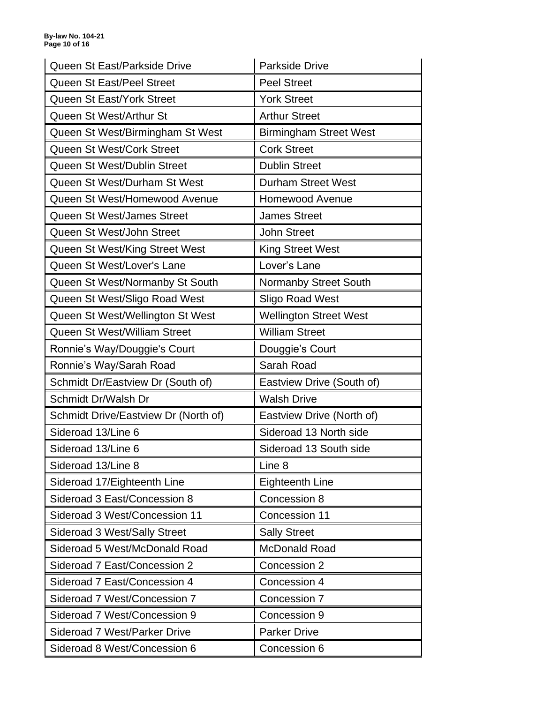| Queen St East/Parkside Drive         | <b>Parkside Drive</b>         |  |
|--------------------------------------|-------------------------------|--|
| <b>Queen St East/Peel Street</b>     | <b>Peel Street</b>            |  |
| Queen St East/York Street            | <b>York Street</b>            |  |
| Queen St West/Arthur St              | <b>Arthur Street</b>          |  |
| Queen St West/Birmingham St West     | <b>Birmingham Street West</b> |  |
| Queen St West/Cork Street            | <b>Cork Street</b>            |  |
| Queen St West/Dublin Street          | <b>Dublin Street</b>          |  |
| Queen St West/Durham St West         | <b>Durham Street West</b>     |  |
| Queen St West/Homewood Avenue        | <b>Homewood Avenue</b>        |  |
| <b>Queen St West/James Street</b>    | <b>James Street</b>           |  |
| Queen St West/John Street            | <b>John Street</b>            |  |
| Queen St West/King Street West       | <b>King Street West</b>       |  |
| Queen St West/Lover's Lane           | Lover's Lane                  |  |
| Queen St West/Normanby St South      | <b>Normanby Street South</b>  |  |
| Queen St West/Sligo Road West        | Sligo Road West               |  |
| Queen St West/Wellington St West     | <b>Wellington Street West</b> |  |
| Queen St West/William Street         | <b>William Street</b>         |  |
| Ronnie's Way/Douggie's Court         | Douggie's Court               |  |
|                                      |                               |  |
| Ronnie's Way/Sarah Road              | Sarah Road                    |  |
| Schmidt Dr/Eastview Dr (South of)    | Eastview Drive (South of)     |  |
| Schmidt Dr/Walsh Dr                  | <b>Walsh Drive</b>            |  |
| Schmidt Drive/Eastview Dr (North of) | Eastview Drive (North of)     |  |
| Sideroad 13/Line 6                   | Sideroad 13 North side        |  |
| Sideroad 13/Line 6                   | Sideroad 13 South side        |  |
| Sideroad 13/Line 8                   | Line 8                        |  |
| Sideroad 17/Eighteenth Line          | <b>Eighteenth Line</b>        |  |
| Sideroad 3 East/Concession 8         | Concession 8                  |  |
| Sideroad 3 West/Concession 11        | Concession 11                 |  |
| Sideroad 3 West/Sally Street         | <b>Sally Street</b>           |  |
| Sideroad 5 West/McDonald Road        | McDonald Road                 |  |
| Sideroad 7 East/Concession 2         | Concession 2                  |  |
| Sideroad 7 East/Concession 4         | Concession 4                  |  |
| Sideroad 7 West/Concession 7         | Concession 7                  |  |
| Sideroad 7 West/Concession 9         | Concession 9                  |  |
| <b>Sideroad 7 West/Parker Drive</b>  | <b>Parker Drive</b>           |  |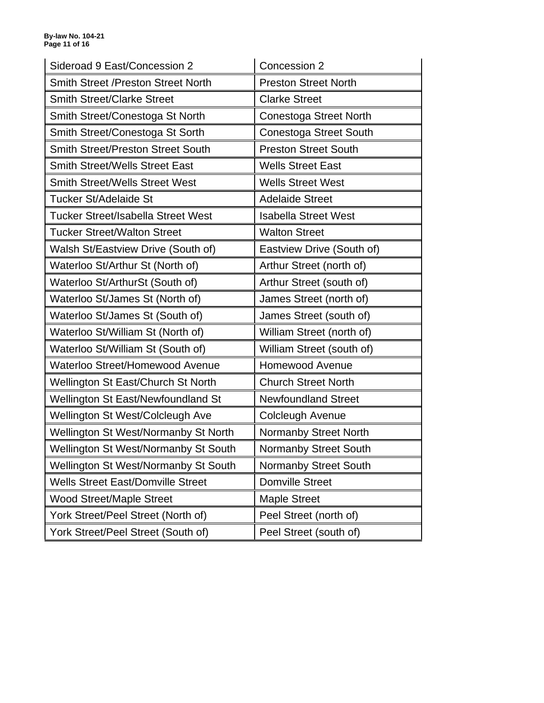| Sideroad 9 East/Concession 2                | Concession 2                  |  |
|---------------------------------------------|-------------------------------|--|
| Smith Street /Preston Street North          | <b>Preston Street North</b>   |  |
| <b>Smith Street/Clarke Street</b>           | <b>Clarke Street</b>          |  |
| Smith Street/Conestoga St North             | Conestoga Street North        |  |
| Smith Street/Conestoga St Sorth             | <b>Conestoga Street South</b> |  |
| <b>Smith Street/Preston Street South</b>    | <b>Preston Street South</b>   |  |
| <b>Smith Street/Wells Street East</b>       | <b>Wells Street East</b>      |  |
| <b>Smith Street/Wells Street West</b>       | <b>Wells Street West</b>      |  |
| Tucker St/Adelaide St                       | <b>Adelaide Street</b>        |  |
| <b>Tucker Street/Isabella Street West</b>   | <b>Isabella Street West</b>   |  |
| <b>Tucker Street/Walton Street</b>          | <b>Walton Street</b>          |  |
| Walsh St/Eastview Drive (South of)          | Eastview Drive (South of)     |  |
| Waterloo St/Arthur St (North of)            | Arthur Street (north of)      |  |
| Waterloo St/ArthurSt (South of)             | Arthur Street (south of)      |  |
| Waterloo St/James St (North of)             | James Street (north of)       |  |
| Waterloo St/James St (South of)             | James Street (south of)       |  |
| Waterloo St/William St (North of)           | William Street (north of)     |  |
| Waterloo St/William St (South of)           | William Street (south of)     |  |
| Waterloo Street/Homewood Avenue             | <b>Homewood Avenue</b>        |  |
| Wellington St East/Church St North          | <b>Church Street North</b>    |  |
| Wellington St East/Newfoundland St          | <b>Newfoundland Street</b>    |  |
| Wellington St West/Colcleugh Ave            | Colcleugh Avenue              |  |
| Wellington St West/Normanby St North        | Normanby Street North         |  |
| <b>Wellington St West/Normanby St South</b> | Normanby Street South         |  |
| <b>Wellington St West/Normanby St South</b> | <b>Normanby Street South</b>  |  |
| <b>Wells Street East/Domville Street</b>    | <b>Domville Street</b>        |  |
| <b>Wood Street/Maple Street</b>             | <b>Maple Street</b>           |  |
| York Street/Peel Street (North of)          | Peel Street (north of)        |  |
| York Street/Peel Street (South of)          | Peel Street (south of)        |  |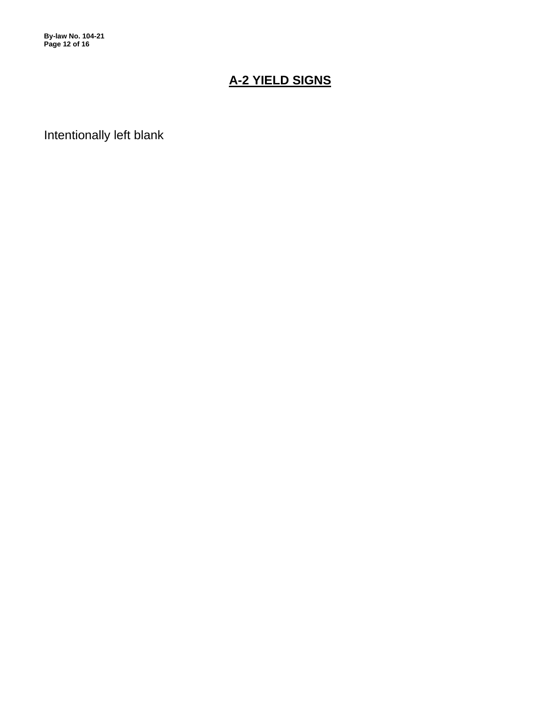**By-law No. 104-21 Page 12 of 16**

# **A-2 YIELD SIGNS**

Intentionally left blank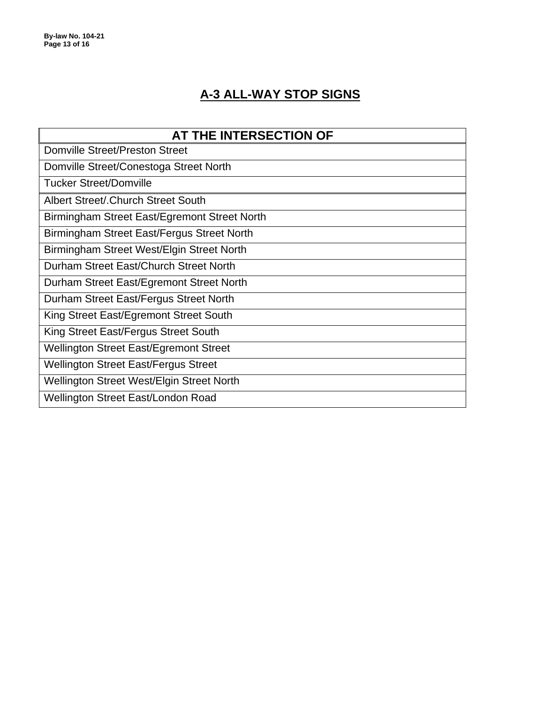# **A-3 ALL-WAY STOP SIGNS**

| AT THE INTERSECTION OF                        |
|-----------------------------------------------|
|                                               |
| <b>Domville Street/Preston Street</b>         |
| Domville Street/Conestoga Street North        |
| <b>Tucker Street/Domville</b>                 |
| Albert Street/. Church Street South           |
| Birmingham Street East/Egremont Street North  |
| Birmingham Street East/Fergus Street North    |
| Birmingham Street West/Elgin Street North     |
| Durham Street East/Church Street North        |
| Durham Street East/Egremont Street North      |
| Durham Street East/Fergus Street North        |
| King Street East/Egremont Street South        |
| King Street East/Fergus Street South          |
| <b>Wellington Street East/Egremont Street</b> |
| <b>Wellington Street East/Fergus Street</b>   |
| Wellington Street West/Elgin Street North     |
| Wellington Street East/London Road            |
|                                               |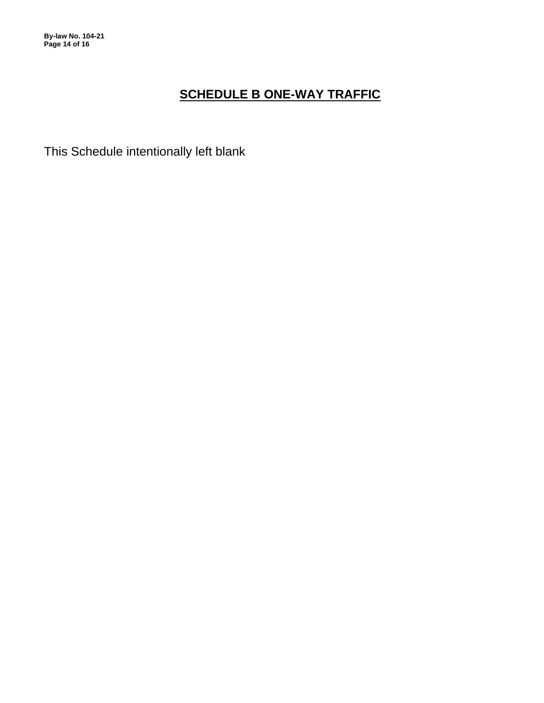**By-law No. 104-21 Page 14 of 16**

# **SCHEDULE B ONE-WAY TRAFFIC**

This Schedule intentionally left blank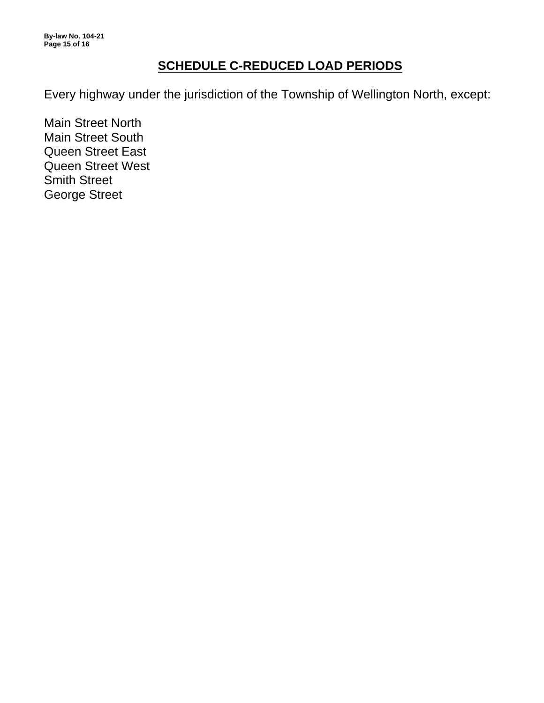**By-law No. 104-21 Page 15 of 16**

# **SCHEDULE C-REDUCED LOAD PERIODS**

Every highway under the jurisdiction of the Township of Wellington North, except:

Main Street North Main Street South Queen Street East Queen Street West Smith Street George Street